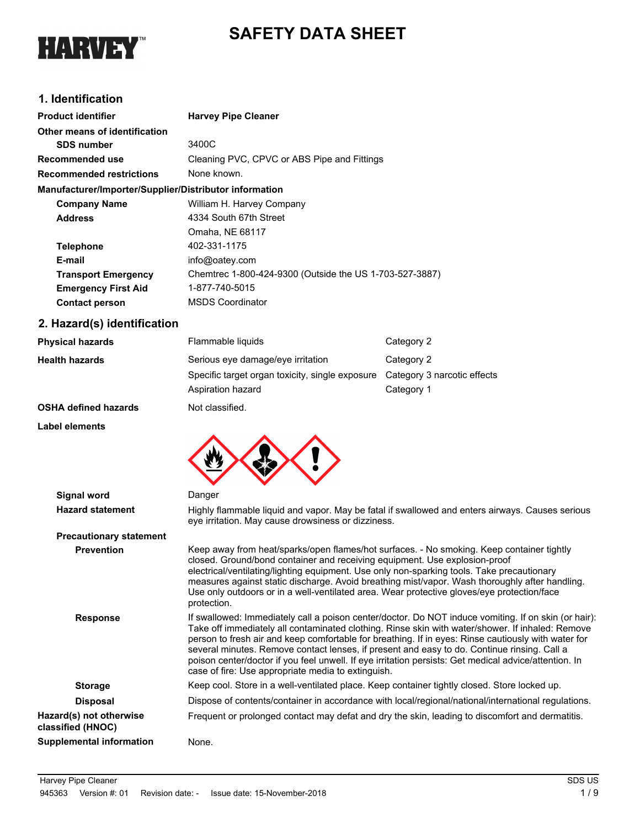



# **1. Identification**

| <b>Product identifier</b>                              | <b>Harvey Pipe Cleaner</b>                              |
|--------------------------------------------------------|---------------------------------------------------------|
| Other means of identification                          |                                                         |
| <b>SDS number</b>                                      | 3400C                                                   |
| Recommended use                                        | Cleaning PVC, CPVC or ABS Pipe and Fittings             |
| <b>Recommended restrictions</b>                        | None known.                                             |
| Manufacturer/Importer/Supplier/Distributor information |                                                         |
| <b>Company Name</b>                                    | William H. Harvey Company                               |
| <b>Address</b>                                         | 4334 South 67th Street                                  |
|                                                        | Omaha, NE 68117                                         |
| <b>Telephone</b>                                       | 402-331-1175                                            |
| E-mail                                                 | info@oatey.com                                          |
| <b>Transport Emergency</b>                             | Chemtrec 1-800-424-9300 (Outside the US 1-703-527-3887) |
| <b>Emergency First Aid</b>                             | 1-877-740-5015                                          |
| <b>Contact person</b>                                  | <b>MSDS Coordinator</b>                                 |

# **2. Hazard(s) identification**

| <b>Physical hazards</b>     | Flammable liquids                               | Category 2                  |
|-----------------------------|-------------------------------------------------|-----------------------------|
| <b>Health hazards</b>       | Serious eye damage/eye irritation               | Category 2                  |
|                             | Specific target organ toxicity, single exposure | Category 3 narcotic effects |
|                             | Aspiration hazard                               | Category 1                  |
| <b>OSHA defined hazards</b> | Not classified.                                 |                             |

## **Label elements**



| <b>Signal word</b>                           | Danger                                                                                                                                                                                                                                                                                                                                                                                                                                                                                                                                                                        |
|----------------------------------------------|-------------------------------------------------------------------------------------------------------------------------------------------------------------------------------------------------------------------------------------------------------------------------------------------------------------------------------------------------------------------------------------------------------------------------------------------------------------------------------------------------------------------------------------------------------------------------------|
| <b>Hazard statement</b>                      | Highly flammable liquid and vapor. May be fatal if swallowed and enters airways. Causes serious<br>eye irritation. May cause drowsiness or dizziness.                                                                                                                                                                                                                                                                                                                                                                                                                         |
| <b>Precautionary statement</b>               |                                                                                                                                                                                                                                                                                                                                                                                                                                                                                                                                                                               |
| <b>Prevention</b>                            | Keep away from heat/sparks/open flames/hot surfaces. - No smoking. Keep container tightly<br>closed. Ground/bond container and receiving equipment. Use explosion-proof<br>electrical/ventilating/lighting equipment. Use only non-sparking tools. Take precautionary<br>measures against static discharge. Avoid breathing mist/vapor. Wash thoroughly after handling.<br>Use only outdoors or in a well-ventilated area. Wear protective gloves/eye protection/face<br>protection.                                                                                          |
| <b>Response</b>                              | If swallowed: Immediately call a poison center/doctor. Do NOT induce vomiting. If on skin (or hair):<br>Take off immediately all contaminated clothing. Rinse skin with water/shower. If inhaled: Remove<br>person to fresh air and keep comfortable for breathing. If in eyes: Rinse cautiously with water for<br>several minutes. Remove contact lenses, if present and easy to do. Continue rinsing. Call a<br>poison center/doctor if you feel unwell. If eye irritation persists: Get medical advice/attention. In<br>case of fire: Use appropriate media to extinguish. |
| <b>Storage</b>                               | Keep cool. Store in a well-ventilated place. Keep container tightly closed. Store locked up.                                                                                                                                                                                                                                                                                                                                                                                                                                                                                  |
| <b>Disposal</b>                              | Dispose of contents/container in accordance with local/regional/national/international regulations.                                                                                                                                                                                                                                                                                                                                                                                                                                                                           |
| Hazard(s) not otherwise<br>classified (HNOC) | Frequent or prolonged contact may defat and dry the skin, leading to discomfort and dermatitis.                                                                                                                                                                                                                                                                                                                                                                                                                                                                               |
| <b>Supplemental information</b>              | None.                                                                                                                                                                                                                                                                                                                                                                                                                                                                                                                                                                         |
|                                              |                                                                                                                                                                                                                                                                                                                                                                                                                                                                                                                                                                               |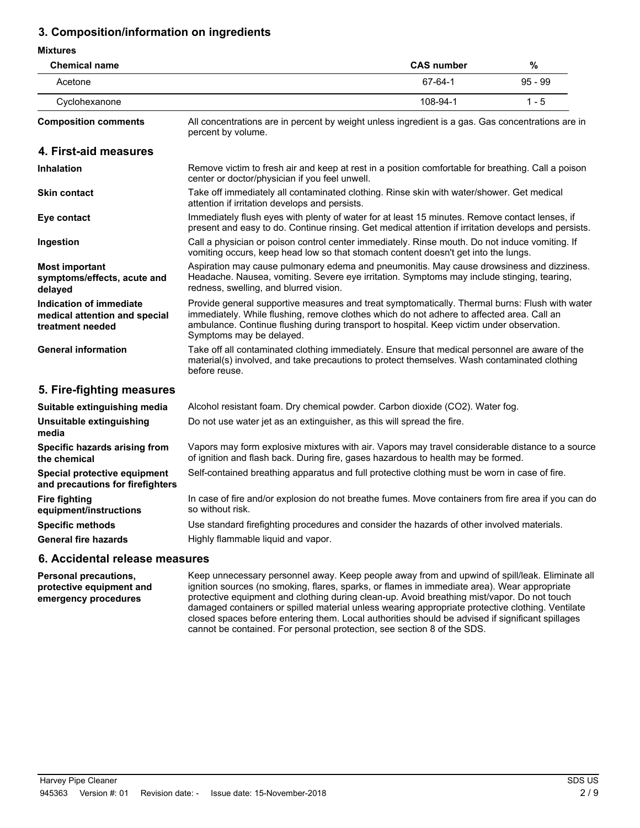# **3. Composition/information on ingredients**

#### **Mixtures**

| <b>Chemical name</b>                                                         |                                                                                                                                                                                                                                                                                                                      | <b>CAS number</b> | $\%$      |
|------------------------------------------------------------------------------|----------------------------------------------------------------------------------------------------------------------------------------------------------------------------------------------------------------------------------------------------------------------------------------------------------------------|-------------------|-----------|
| Acetone                                                                      |                                                                                                                                                                                                                                                                                                                      | 67-64-1           | $95 - 99$ |
| Cyclohexanone                                                                |                                                                                                                                                                                                                                                                                                                      | 108-94-1          | $1 - 5$   |
| <b>Composition comments</b>                                                  | All concentrations are in percent by weight unless ingredient is a gas. Gas concentrations are in<br>percent by volume.                                                                                                                                                                                              |                   |           |
| 4. First-aid measures                                                        |                                                                                                                                                                                                                                                                                                                      |                   |           |
| <b>Inhalation</b>                                                            | Remove victim to fresh air and keep at rest in a position comfortable for breathing. Call a poison<br>center or doctor/physician if you feel unwell.                                                                                                                                                                 |                   |           |
| <b>Skin contact</b>                                                          | Take off immediately all contaminated clothing. Rinse skin with water/shower. Get medical<br>attention if irritation develops and persists.                                                                                                                                                                          |                   |           |
| Eye contact                                                                  | Immediately flush eyes with plenty of water for at least 15 minutes. Remove contact lenses, if<br>present and easy to do. Continue rinsing. Get medical attention if irritation develops and persists.                                                                                                               |                   |           |
| Ingestion                                                                    | Call a physician or poison control center immediately. Rinse mouth. Do not induce vomiting. If<br>vomiting occurs, keep head low so that stomach content doesn't get into the lungs.                                                                                                                                 |                   |           |
| <b>Most important</b><br>symptoms/effects, acute and<br>delayed              | Aspiration may cause pulmonary edema and pneumonitis. May cause drowsiness and dizziness.<br>Headache. Nausea, vomiting. Severe eye irritation. Symptoms may include stinging, tearing,<br>redness, swelling, and blurred vision.                                                                                    |                   |           |
| Indication of immediate<br>medical attention and special<br>treatment needed | Provide general supportive measures and treat symptomatically. Thermal burns: Flush with water<br>immediately. While flushing, remove clothes which do not adhere to affected area. Call an<br>ambulance. Continue flushing during transport to hospital. Keep victim under observation.<br>Symptoms may be delayed. |                   |           |
| <b>General information</b>                                                   | Take off all contaminated clothing immediately. Ensure that medical personnel are aware of the<br>material(s) involved, and take precautions to protect themselves. Wash contaminated clothing<br>before reuse.                                                                                                      |                   |           |
| 5. Fire-fighting measures                                                    |                                                                                                                                                                                                                                                                                                                      |                   |           |
| Suitable extinguishing media                                                 | Alcohol resistant foam. Dry chemical powder. Carbon dioxide (CO2). Water fog.                                                                                                                                                                                                                                        |                   |           |
| Unsuitable extinguishing<br>media                                            | Do not use water jet as an extinguisher, as this will spread the fire.                                                                                                                                                                                                                                               |                   |           |
| Specific hazards arising from<br>the chemical                                | Vapors may form explosive mixtures with air. Vapors may travel considerable distance to a source<br>of ignition and flash back. During fire, gases hazardous to health may be formed.                                                                                                                                |                   |           |
| Special protective equipment<br>and precautions for firefighters             | Self-contained breathing apparatus and full protective clothing must be worn in case of fire.                                                                                                                                                                                                                        |                   |           |
| Fire fighting<br>equipment/instructions                                      | In case of fire and/or explosion do not breathe fumes. Move containers from fire area if you can do<br>so without risk.                                                                                                                                                                                              |                   |           |
| <b>Specific methods</b>                                                      | Use standard firefighting procedures and consider the hazards of other involved materials.                                                                                                                                                                                                                           |                   |           |
| <b>General fire hazards</b>                                                  | Highly flammable liquid and vapor.                                                                                                                                                                                                                                                                                   |                   |           |

## **6. Accidental release measures**

**Personal precautions, protective equipment and emergency procedures**

Keep unnecessary personnel away. Keep people away from and upwind of spill/leak. Eliminate all ignition sources (no smoking, flares, sparks, or flames in immediate area). Wear appropriate protective equipment and clothing during clean-up. Avoid breathing mist/vapor. Do not touch damaged containers or spilled material unless wearing appropriate protective clothing. Ventilate closed spaces before entering them. Local authorities should be advised if significant spillages cannot be contained. For personal protection, see section 8 of the SDS.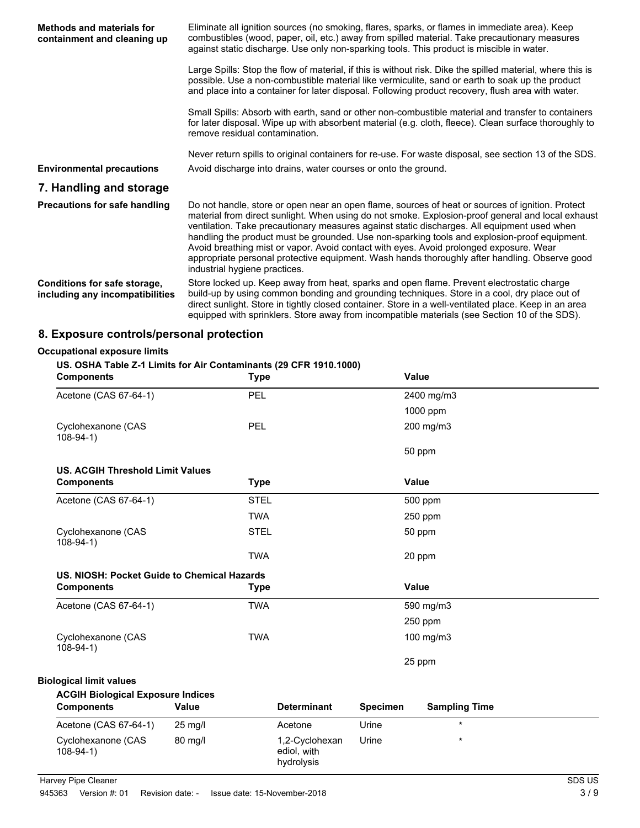| Methods and materials for<br>containment and cleaning up        | Eliminate all ignition sources (no smoking, flares, sparks, or flames in immediate area). Keep<br>combustibles (wood, paper, oil, etc.) away from spilled material. Take precautionary measures<br>against static discharge. Use only non-sparking tools. This product is miscible in water.                                                                                                                                                                                                                                                                                                                                     |  |  |
|-----------------------------------------------------------------|----------------------------------------------------------------------------------------------------------------------------------------------------------------------------------------------------------------------------------------------------------------------------------------------------------------------------------------------------------------------------------------------------------------------------------------------------------------------------------------------------------------------------------------------------------------------------------------------------------------------------------|--|--|
|                                                                 | Large Spills: Stop the flow of material, if this is without risk. Dike the spilled material, where this is<br>possible. Use a non-combustible material like vermiculite, sand or earth to soak up the product<br>and place into a container for later disposal. Following product recovery, flush area with water.                                                                                                                                                                                                                                                                                                               |  |  |
|                                                                 | Small Spills: Absorb with earth, sand or other non-combustible material and transfer to containers<br>for later disposal. Wipe up with absorbent material (e.g. cloth, fleece). Clean surface thoroughly to<br>remove residual contamination.                                                                                                                                                                                                                                                                                                                                                                                    |  |  |
| <b>Environmental precautions</b>                                | Never return spills to original containers for re-use. For waste disposal, see section 13 of the SDS.<br>Avoid discharge into drains, water courses or onto the ground.                                                                                                                                                                                                                                                                                                                                                                                                                                                          |  |  |
| 7. Handling and storage                                         |                                                                                                                                                                                                                                                                                                                                                                                                                                                                                                                                                                                                                                  |  |  |
| <b>Precautions for safe handling</b>                            | Do not handle, store or open near an open flame, sources of heat or sources of ignition. Protect<br>material from direct sunlight. When using do not smoke. Explosion-proof general and local exhaust<br>ventilation. Take precautionary measures against static discharges. All equipment used when<br>handling the product must be grounded. Use non-sparking tools and explosion-proof equipment.<br>Avoid breathing mist or vapor. Avoid contact with eyes. Avoid prolonged exposure. Wear<br>appropriate personal protective equipment. Wash hands thoroughly after handling. Observe good<br>industrial hygiene practices. |  |  |
| Conditions for safe storage,<br>including any incompatibilities | Store locked up. Keep away from heat, sparks and open flame. Prevent electrostatic charge<br>build-up by using common bonding and grounding techniques. Store in a cool, dry place out of<br>direct sunlight. Store in tightly closed container. Store in a well-ventilated place. Keep in an area<br>equipped with sprinklers. Store away from incompatible materials (see Section 10 of the SDS).                                                                                                                                                                                                                              |  |  |

## **8. Exposure controls/personal protection**

### **Occupational exposure limits**

### **US. OSHA Table Z-1 Limits for Air Contaminants (29 CFR 1910.1000)**

| <b>Components</b>                           | <b>Type</b> |                    |                 | <b>Value</b>         |  |
|---------------------------------------------|-------------|--------------------|-----------------|----------------------|--|
| Acetone (CAS 67-64-1)                       | PEL         |                    |                 | 2400 mg/m3           |  |
|                                             |             |                    |                 | 1000 ppm             |  |
| Cyclohexanone (CAS<br>$108-94-1)$           | <b>PEL</b>  |                    |                 | 200 mg/m3            |  |
|                                             |             |                    |                 | 50 ppm               |  |
| <b>US. ACGIH Threshold Limit Values</b>     |             |                    |                 |                      |  |
| <b>Components</b>                           | <b>Type</b> |                    |                 | <b>Value</b>         |  |
| Acetone (CAS 67-64-1)                       | <b>STEL</b> |                    |                 | 500 ppm              |  |
|                                             | <b>TWA</b>  |                    |                 | 250 ppm              |  |
| Cyclohexanone (CAS<br>$108-94-1)$           | <b>STEL</b> |                    |                 | 50 ppm               |  |
|                                             | <b>TWA</b>  |                    |                 | 20 ppm               |  |
| US. NIOSH: Pocket Guide to Chemical Hazards |             |                    |                 |                      |  |
| <b>Components</b>                           | <b>Type</b> |                    |                 | Value                |  |
| Acetone (CAS 67-64-1)                       | <b>TWA</b>  |                    |                 | 590 mg/m3            |  |
|                                             |             |                    |                 | 250 ppm              |  |
| Cyclohexanone (CAS<br>$108-94-1)$           | <b>TWA</b>  |                    |                 | 100 mg/m3            |  |
|                                             |             |                    |                 | 25 ppm               |  |
| <b>Biological limit values</b>              |             |                    |                 |                      |  |
| <b>ACGIH Biological Exposure Indices</b>    |             |                    |                 |                      |  |
| <b>Components</b>                           | Value       | <b>Determinant</b> | <b>Specimen</b> | <b>Sampling Time</b> |  |
| Acetone (CAS 67-64-1)                       | 25 mg/l     | Acetone            | Urine           | $\star$              |  |

108-94-1)

80 mg/l 1,2-Cyclohexan

Cyclohexanone (CAS 80 mg/l 1,2-Cyclohexan Urine \*

ediol, with hydrolysis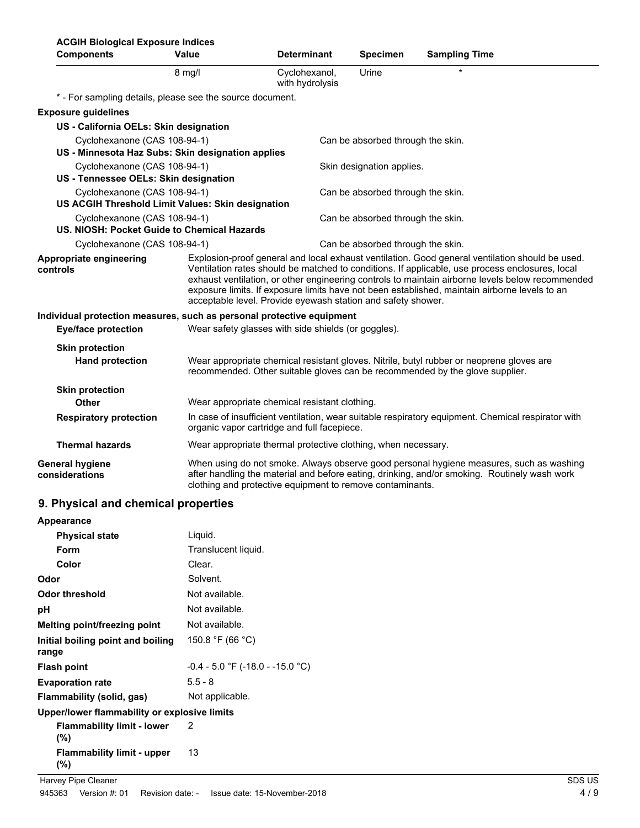| <b>ACGIH Biological Exposure Indices</b><br><b>Components</b>               | Value                                                                                                                                             | <b>Determinant</b>                                            | <b>Specimen</b>                   | <b>Sampling Time</b>                                                                                                                                                                                                                                                                                                                                                                                    |
|-----------------------------------------------------------------------------|---------------------------------------------------------------------------------------------------------------------------------------------------|---------------------------------------------------------------|-----------------------------------|---------------------------------------------------------------------------------------------------------------------------------------------------------------------------------------------------------------------------------------------------------------------------------------------------------------------------------------------------------------------------------------------------------|
|                                                                             | $8$ mg/l                                                                                                                                          | Cyclohexanol,<br>with hydrolysis                              | Urine                             |                                                                                                                                                                                                                                                                                                                                                                                                         |
| * - For sampling details, please see the source document.                   |                                                                                                                                                   |                                                               |                                   |                                                                                                                                                                                                                                                                                                                                                                                                         |
| <b>Exposure guidelines</b>                                                  |                                                                                                                                                   |                                                               |                                   |                                                                                                                                                                                                                                                                                                                                                                                                         |
| US - California OELs: Skin designation                                      |                                                                                                                                                   |                                                               |                                   |                                                                                                                                                                                                                                                                                                                                                                                                         |
| Cyclohexanone (CAS 108-94-1)                                                |                                                                                                                                                   |                                                               | Can be absorbed through the skin. |                                                                                                                                                                                                                                                                                                                                                                                                         |
| US - Minnesota Haz Subs: Skin designation applies                           |                                                                                                                                                   |                                                               |                                   |                                                                                                                                                                                                                                                                                                                                                                                                         |
| Cyclohexanone (CAS 108-94-1)                                                |                                                                                                                                                   |                                                               | Skin designation applies.         |                                                                                                                                                                                                                                                                                                                                                                                                         |
| US - Tennessee OELs: Skin designation                                       |                                                                                                                                                   |                                                               |                                   |                                                                                                                                                                                                                                                                                                                                                                                                         |
| Cyclohexanone (CAS 108-94-1)                                                |                                                                                                                                                   |                                                               | Can be absorbed through the skin. |                                                                                                                                                                                                                                                                                                                                                                                                         |
| US ACGIH Threshold Limit Values: Skin designation                           |                                                                                                                                                   |                                                               |                                   |                                                                                                                                                                                                                                                                                                                                                                                                         |
| Cyclohexanone (CAS 108-94-1)<br>US. NIOSH: Pocket Guide to Chemical Hazards |                                                                                                                                                   |                                                               | Can be absorbed through the skin. |                                                                                                                                                                                                                                                                                                                                                                                                         |
| Cyclohexanone (CAS 108-94-1)                                                |                                                                                                                                                   |                                                               | Can be absorbed through the skin. |                                                                                                                                                                                                                                                                                                                                                                                                         |
| Appropriate engineering<br>controls                                         |                                                                                                                                                   | acceptable level. Provide eyewash station and safety shower.  |                                   | Explosion-proof general and local exhaust ventilation. Good general ventilation should be used.<br>Ventilation rates should be matched to conditions. If applicable, use process enclosures, local<br>exhaust ventilation, or other engineering controls to maintain airborne levels below recommended<br>exposure limits. If exposure limits have not been established, maintain airborne levels to an |
| Individual protection measures, such as personal protective equipment       |                                                                                                                                                   |                                                               |                                   |                                                                                                                                                                                                                                                                                                                                                                                                         |
| <b>Eye/face protection</b>                                                  |                                                                                                                                                   | Wear safety glasses with side shields (or goggles).           |                                   |                                                                                                                                                                                                                                                                                                                                                                                                         |
| <b>Skin protection</b>                                                      |                                                                                                                                                   |                                                               |                                   |                                                                                                                                                                                                                                                                                                                                                                                                         |
| <b>Hand protection</b>                                                      |                                                                                                                                                   |                                                               |                                   | Wear appropriate chemical resistant gloves. Nitrile, butyl rubber or neoprene gloves are<br>recommended. Other suitable gloves can be recommended by the glove supplier.                                                                                                                                                                                                                                |
| <b>Skin protection</b>                                                      |                                                                                                                                                   |                                                               |                                   |                                                                                                                                                                                                                                                                                                                                                                                                         |
| Other                                                                       |                                                                                                                                                   | Wear appropriate chemical resistant clothing.                 |                                   |                                                                                                                                                                                                                                                                                                                                                                                                         |
| <b>Respiratory protection</b>                                               | In case of insufficient ventilation, wear suitable respiratory equipment. Chemical respirator with<br>organic vapor cartridge and full facepiece. |                                                               |                                   |                                                                                                                                                                                                                                                                                                                                                                                                         |
| <b>Thermal hazards</b>                                                      |                                                                                                                                                   | Wear appropriate thermal protective clothing, when necessary. |                                   |                                                                                                                                                                                                                                                                                                                                                                                                         |
| <b>General hygiene</b><br>considerations                                    | clothing and protective equipment to remove contaminants.                                                                                         |                                                               |                                   | When using do not smoke. Always observe good personal hygiene measures, such as washing<br>after handling the material and before eating, drinking, and/or smoking. Routinely wash work                                                                                                                                                                                                                 |

## **9. Physical and chemical properties**

| Appearance                                   |                                    |
|----------------------------------------------|------------------------------------|
| <b>Physical state</b>                        | Liguid.                            |
| <b>Form</b>                                  | Translucent liquid.                |
| Color                                        | Clear.                             |
| Odor                                         | Solvent.                           |
| Odor threshold                               | Not available.                     |
| рH                                           | Not available.                     |
| Melting point/freezing point                 | Not available.                     |
| Initial boiling point and boiling<br>range   | 150.8 °F (66 °C)                   |
| <b>Flash point</b>                           | $-0.4 - 5.0$ °F (-18.0 - -15.0 °C) |
| <b>Evaporation rate</b>                      | $5.5 - 8$                          |
| Flammability (solid, gas)                    | Not applicable.                    |
| Upper/lower flammability or explosive limits |                                    |
| <b>Flammability limit - lower</b><br>$(\%)$  | 2                                  |
| <b>Flammability limit - upper</b><br>$(\%)$  | 13                                 |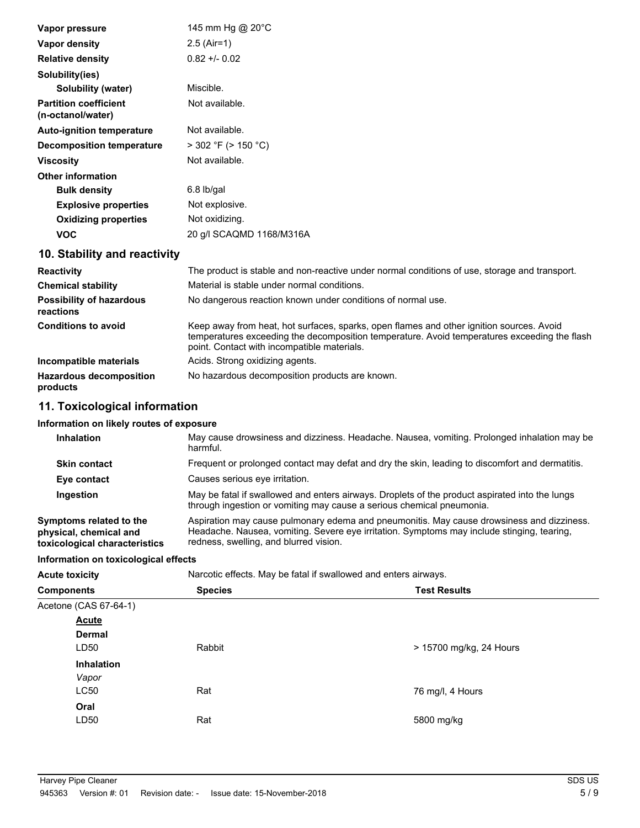| Vapor pressure                                    | 145 mm Hg @ 20°C                                                                                                                                                                                                                        |
|---------------------------------------------------|-----------------------------------------------------------------------------------------------------------------------------------------------------------------------------------------------------------------------------------------|
| Vapor density                                     | $2.5$ (Air=1)                                                                                                                                                                                                                           |
| <b>Relative density</b>                           | $0.82 + 0.02$                                                                                                                                                                                                                           |
| Solubility(ies)                                   |                                                                                                                                                                                                                                         |
| <b>Solubility (water)</b>                         | Miscible.                                                                                                                                                                                                                               |
| <b>Partition coefficient</b><br>(n-octanol/water) | Not available.                                                                                                                                                                                                                          |
| <b>Auto-ignition temperature</b>                  | Not available.                                                                                                                                                                                                                          |
| <b>Decomposition temperature</b>                  | $>$ 302 °F ( $>$ 150 °C)                                                                                                                                                                                                                |
| <b>Viscosity</b>                                  | Not available.                                                                                                                                                                                                                          |
| <b>Other information</b>                          |                                                                                                                                                                                                                                         |
| <b>Bulk density</b>                               | $6.8$ lb/gal                                                                                                                                                                                                                            |
| <b>Explosive properties</b>                       | Not explosive.                                                                                                                                                                                                                          |
| <b>Oxidizing properties</b>                       | Not oxidizing.                                                                                                                                                                                                                          |
| <b>VOC</b>                                        | 20 g/l SCAQMD 1168/M316A                                                                                                                                                                                                                |
| 10. Stability and reactivity                      |                                                                                                                                                                                                                                         |
| <b>Reactivity</b>                                 | The product is stable and non-reactive under normal conditions of use, storage and transport.                                                                                                                                           |
| <b>Chemical stability</b>                         | Material is stable under normal conditions.                                                                                                                                                                                             |
| <b>Possibility of hazardous</b><br>reactions      | No dangerous reaction known under conditions of normal use.                                                                                                                                                                             |
| <b>Conditions to avoid</b>                        | Keep away from heat, hot surfaces, sparks, open flames and other ignition sources. Avoid<br>temperatures exceeding the decomposition temperature. Avoid temperatures exceeding the flash<br>point. Contact with incompatible materials. |
| Incompatible materials                            | Acids. Strong oxidizing agents.                                                                                                                                                                                                         |
| <b>Hazardous decomposition</b><br>products        | No hazardous decomposition products are known.                                                                                                                                                                                          |

# **11. Toxicological information**

## **Information on likely routes of exposure**

| May cause drowsiness and dizziness. Headache. Nausea, vomiting. Prolonged inhalation may be<br>harmful.                                                                                                                           |
|-----------------------------------------------------------------------------------------------------------------------------------------------------------------------------------------------------------------------------------|
| Frequent or prolonged contact may defat and dry the skin, leading to discomfort and dermatitis.                                                                                                                                   |
| Causes serious eye irritation.                                                                                                                                                                                                    |
| May be fatal if swallowed and enters airways. Droplets of the product aspirated into the lungs<br>through ingestion or vomiting may cause a serious chemical pneumonia.                                                           |
| Aspiration may cause pulmonary edema and pneumonitis. May cause drowsiness and dizziness.<br>Headache. Nausea, vomiting. Severe eye irritation. Symptoms may include stinging, tearing,<br>redness, swelling, and blurred vision. |
|                                                                                                                                                                                                                                   |

## **Information on toxicological effects**

**Acute toxicity** Narcotic effects. May be fatal if swallowed and enters airways.

| <b>Components</b>     | <b>Species</b> | <b>Test Results</b>     |
|-----------------------|----------------|-------------------------|
| Acetone (CAS 67-64-1) |                |                         |
| <b>Acute</b>          |                |                         |
| <b>Dermal</b>         |                |                         |
| LD50                  | Rabbit         | > 15700 mg/kg, 24 Hours |
| Inhalation            |                |                         |
| Vapor                 |                |                         |
| <b>LC50</b>           | Rat            | 76 mg/l, 4 Hours        |
| Oral                  |                |                         |
| LD <sub>50</sub>      | Rat            | 5800 mg/kg              |
|                       |                |                         |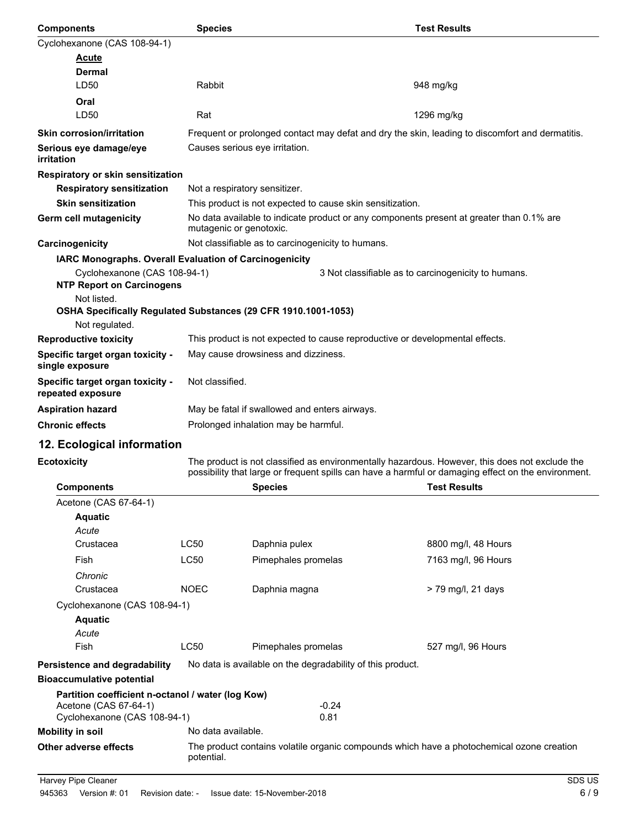| Components                                                                                                                                        | <b>Species</b> |                                                                                                                     | <b>Test Results</b>                                                                                                                                                                                   |  |
|---------------------------------------------------------------------------------------------------------------------------------------------------|----------------|---------------------------------------------------------------------------------------------------------------------|-------------------------------------------------------------------------------------------------------------------------------------------------------------------------------------------------------|--|
| Cyclohexanone (CAS 108-94-1)                                                                                                                      |                |                                                                                                                     |                                                                                                                                                                                                       |  |
| Acute                                                                                                                                             |                |                                                                                                                     |                                                                                                                                                                                                       |  |
| <b>Dermal</b>                                                                                                                                     |                |                                                                                                                     |                                                                                                                                                                                                       |  |
| LD50                                                                                                                                              | Rabbit         |                                                                                                                     | 948 mg/kg                                                                                                                                                                                             |  |
| Oral                                                                                                                                              |                |                                                                                                                     |                                                                                                                                                                                                       |  |
| LD50                                                                                                                                              | Rat            |                                                                                                                     | 1296 mg/kg                                                                                                                                                                                            |  |
| <b>Skin corrosion/irritation</b>                                                                                                                  |                |                                                                                                                     | Frequent or prolonged contact may defat and dry the skin, leading to discomfort and dermatitis.                                                                                                       |  |
| Serious eye damage/eye<br><i>irritation</i>                                                                                                       |                | Causes serious eye irritation.                                                                                      |                                                                                                                                                                                                       |  |
| <b>Respiratory or skin sensitization</b>                                                                                                          |                |                                                                                                                     |                                                                                                                                                                                                       |  |
| <b>Respiratory sensitization</b>                                                                                                                  |                | Not a respiratory sensitizer.                                                                                       |                                                                                                                                                                                                       |  |
| <b>Skin sensitization</b>                                                                                                                         |                | This product is not expected to cause skin sensitization.                                                           |                                                                                                                                                                                                       |  |
| Germ cell mutagenicity                                                                                                                            |                | No data available to indicate product or any components present at greater than 0.1% are<br>mutagenic or genotoxic. |                                                                                                                                                                                                       |  |
| Carcinogenicity                                                                                                                                   |                | Not classifiable as to carcinogenicity to humans.                                                                   |                                                                                                                                                                                                       |  |
| IARC Monographs. Overall Evaluation of Carcinogenicity                                                                                            |                |                                                                                                                     |                                                                                                                                                                                                       |  |
| Cyclohexanone (CAS 108-94-1)<br><b>NTP Report on Carcinogens</b><br>Not listed.<br>OSHA Specifically Regulated Substances (29 CFR 1910.1001-1053) |                |                                                                                                                     | 3 Not classifiable as to carcinogenicity to humans.                                                                                                                                                   |  |
| Not regulated.                                                                                                                                    |                |                                                                                                                     |                                                                                                                                                                                                       |  |
| <b>Reproductive toxicity</b>                                                                                                                      |                | This product is not expected to cause reproductive or developmental effects.                                        |                                                                                                                                                                                                       |  |
| Specific target organ toxicity -<br>single exposure                                                                                               |                | May cause drowsiness and dizziness.                                                                                 |                                                                                                                                                                                                       |  |
| Specific target organ toxicity -<br>repeated exposure                                                                                             |                | Not classified.                                                                                                     |                                                                                                                                                                                                       |  |
| <b>Aspiration hazard</b>                                                                                                                          |                | May be fatal if swallowed and enters airways.                                                                       |                                                                                                                                                                                                       |  |
| <b>Chronic effects</b>                                                                                                                            |                | Prolonged inhalation may be harmful.                                                                                |                                                                                                                                                                                                       |  |
| 12. Ecological information                                                                                                                        |                |                                                                                                                     |                                                                                                                                                                                                       |  |
| <b>Ecotoxicity</b>                                                                                                                                |                |                                                                                                                     | The product is not classified as environmentally hazardous. However, this does not exclude the<br>possibility that large or frequent spills can have a harmful or damaging effect on the environment. |  |
| <b>Components</b>                                                                                                                                 |                | <b>Species</b>                                                                                                      | <b>Test Results</b>                                                                                                                                                                                   |  |
| Acetone (CAS 67-64-1)                                                                                                                             |                |                                                                                                                     |                                                                                                                                                                                                       |  |
| Aquatic                                                                                                                                           |                |                                                                                                                     |                                                                                                                                                                                                       |  |
| Acute                                                                                                                                             |                |                                                                                                                     |                                                                                                                                                                                                       |  |
| Crustacea                                                                                                                                         | <b>LC50</b>    | Daphnia pulex                                                                                                       | 8800 mg/l, 48 Hours                                                                                                                                                                                   |  |

| <b>Bioaccumulative potential</b>                  |                                                                                                         |  |  |  |
|---------------------------------------------------|---------------------------------------------------------------------------------------------------------|--|--|--|
| Partition coefficient n-octanol / water (log Kow) |                                                                                                         |  |  |  |
| Acetone (CAS 67-64-1)                             | $-0.24$                                                                                                 |  |  |  |
| Cyclohexanone (CAS 108-94-1)                      | 0.81                                                                                                    |  |  |  |
| Mobility in soil                                  | No data available.                                                                                      |  |  |  |
| Other adverse effects                             | The product contains volatile organic compounds which have a photochemical ozone creation<br>potential. |  |  |  |

Fish CC50 Pimephales promelas 7163 mg/l, 96 Hours

Crustacea NOEC Daphnia magna > 79 mg/l, 21 days

Fish CC50 Pimephales promelas 527 mg/l, 96 Hours

**Persistence and degradability** No data is available on the degradability of this product.

*Chronic*

**Aquatic** *Acute*

Cyclohexanone (CAS 108-94-1)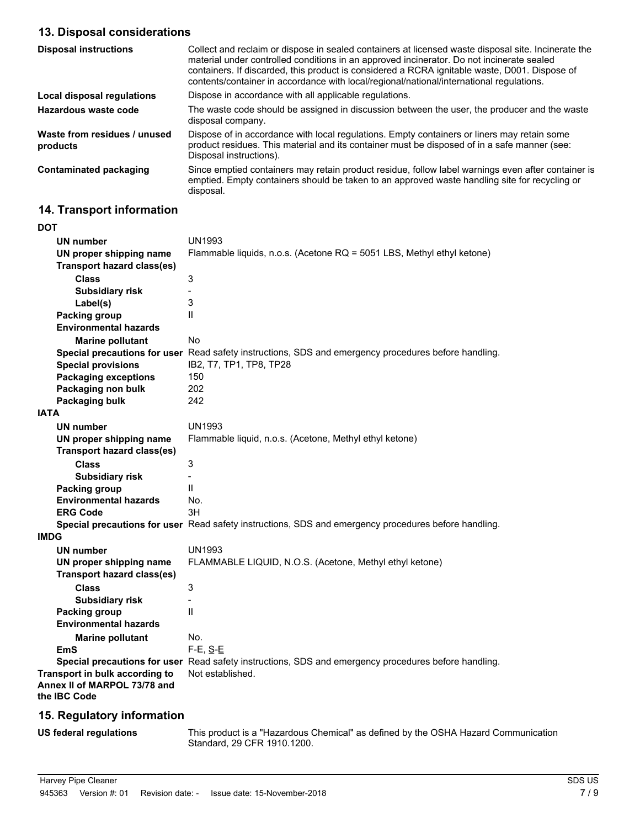# **13. Disposal considerations**

| <b>Disposal instructions</b>             | Collect and reclaim or dispose in sealed containers at licensed waste disposal site. Incinerate the<br>material under controlled conditions in an approved incinerator. Do not incinerate sealed<br>containers. If discarded, this product is considered a RCRA ignitable waste, D001. Dispose of<br>contents/container in accordance with local/regional/national/international regulations. |
|------------------------------------------|-----------------------------------------------------------------------------------------------------------------------------------------------------------------------------------------------------------------------------------------------------------------------------------------------------------------------------------------------------------------------------------------------|
| Local disposal regulations               | Dispose in accordance with all applicable regulations.                                                                                                                                                                                                                                                                                                                                        |
| Hazardous waste code                     | The waste code should be assigned in discussion between the user, the producer and the waste<br>disposal company.                                                                                                                                                                                                                                                                             |
| Waste from residues / unused<br>products | Dispose of in accordance with local regulations. Empty containers or liners may retain some<br>product residues. This material and its container must be disposed of in a safe manner (see:<br>Disposal instructions).                                                                                                                                                                        |
| <b>Contaminated packaging</b>            | Since emptied containers may retain product residue, follow label warnings even after container is<br>emptied. Empty containers should be taken to an approved waste handling site for recycling or<br>disposal.                                                                                                                                                                              |

# **14. Transport information**

| <b>DOT</b>                                                     |                                                                                                      |
|----------------------------------------------------------------|------------------------------------------------------------------------------------------------------|
| UN number                                                      | <b>UN1993</b>                                                                                        |
| UN proper shipping name                                        | Flammable liquids, n.o.s. (Acetone RQ = 5051 LBS, Methyl ethyl ketone)                               |
| <b>Transport hazard class(es)</b>                              |                                                                                                      |
| <b>Class</b>                                                   | 3                                                                                                    |
| <b>Subsidiary risk</b>                                         | $\overline{a}$                                                                                       |
| Label(s)                                                       | 3                                                                                                    |
| Packing group                                                  | $\mathsf{I}$                                                                                         |
| <b>Environmental hazards</b>                                   |                                                                                                      |
| <b>Marine pollutant</b>                                        | No                                                                                                   |
|                                                                | Special precautions for user Read safety instructions, SDS and emergency procedures before handling. |
| <b>Special provisions</b>                                      | IB2, T7, TP1, TP8, TP28                                                                              |
| <b>Packaging exceptions</b>                                    | 150                                                                                                  |
| Packaging non bulk                                             | 202                                                                                                  |
| Packaging bulk                                                 | 242                                                                                                  |
| IATA                                                           |                                                                                                      |
| UN number                                                      | <b>UN1993</b>                                                                                        |
| UN proper shipping name                                        | Flammable liquid, n.o.s. (Acetone, Methyl ethyl ketone)                                              |
| <b>Transport hazard class(es)</b>                              |                                                                                                      |
| <b>Class</b>                                                   | 3                                                                                                    |
| <b>Subsidiary risk</b>                                         |                                                                                                      |
| <b>Packing group</b>                                           | $\mathbf{I}$                                                                                         |
| <b>Environmental hazards</b>                                   | No.                                                                                                  |
| <b>ERG Code</b>                                                | 3H                                                                                                   |
|                                                                | Special precautions for user Read safety instructions, SDS and emergency procedures before handling. |
| <b>IMDG</b>                                                    |                                                                                                      |
| <b>UN number</b>                                               | <b>UN1993</b>                                                                                        |
| UN proper shipping name                                        | FLAMMABLE LIQUID, N.O.S. (Acetone, Methyl ethyl ketone)                                              |
| <b>Transport hazard class(es)</b>                              |                                                                                                      |
| <b>Class</b>                                                   | 3                                                                                                    |
| <b>Subsidiary risk</b>                                         | $\overline{a}$                                                                                       |
| <b>Packing group</b>                                           | $\mathsf{II}$                                                                                        |
| <b>Environmental hazards</b>                                   |                                                                                                      |
| <b>Marine pollutant</b>                                        | No.                                                                                                  |
| EmS                                                            | $F-E$ , $S-E$                                                                                        |
|                                                                | Special precautions for user Read safety instructions, SDS and emergency procedures before handling. |
| Transport in bulk according to<br>Annex II of MARPOL 73/78 and | Not established.                                                                                     |
| the IBC Code                                                   |                                                                                                      |
| $\overline{AB}$ Desubstantinformation                          |                                                                                                      |

# **15. Regulatory information**

**US federal regulations**

This product is a "Hazardous Chemical" as defined by the OSHA Hazard Communication Standard, 29 CFR 1910.1200.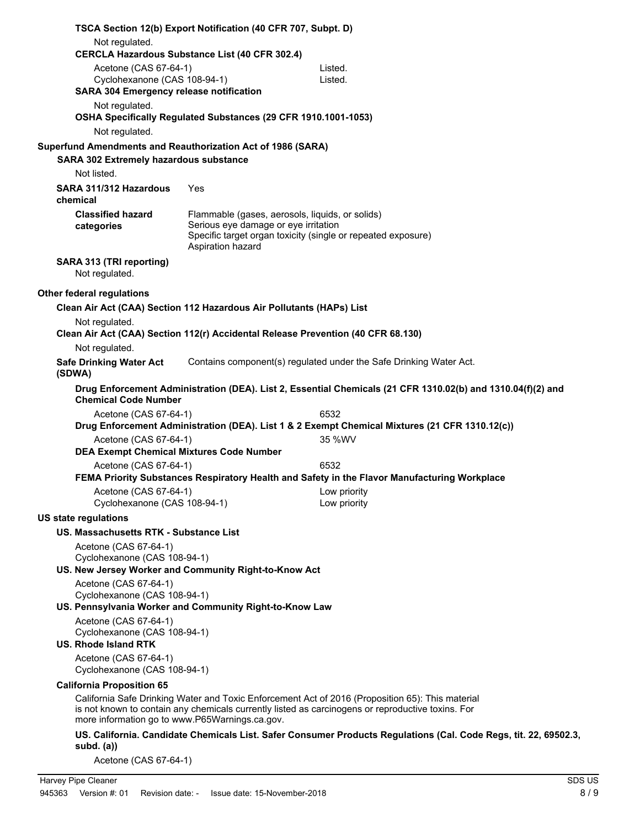| TSCA Section 12(b) Export Notification (40 CFR 707, Subpt. D)        |                                                                |                                                                                                                                                                                                       |
|----------------------------------------------------------------------|----------------------------------------------------------------|-------------------------------------------------------------------------------------------------------------------------------------------------------------------------------------------------------|
| Not regulated.                                                       |                                                                |                                                                                                                                                                                                       |
|                                                                      | CERCLA Hazardous Substance List (40 CFR 302.4)                 |                                                                                                                                                                                                       |
| Acetone (CAS 67-64-1)                                                |                                                                | Listed.                                                                                                                                                                                               |
| Cyclohexanone (CAS 108-94-1)                                         |                                                                | Listed.                                                                                                                                                                                               |
| <b>SARA 304 Emergency release notification</b><br>Not regulated.     |                                                                |                                                                                                                                                                                                       |
|                                                                      | OSHA Specifically Regulated Substances (29 CFR 1910.1001-1053) |                                                                                                                                                                                                       |
| Not regulated.                                                       |                                                                |                                                                                                                                                                                                       |
| Superfund Amendments and Reauthorization Act of 1986 (SARA)          |                                                                |                                                                                                                                                                                                       |
| <b>SARA 302 Extremely hazardous substance</b>                        |                                                                |                                                                                                                                                                                                       |
| Not listed.                                                          |                                                                |                                                                                                                                                                                                       |
| SARA 311/312 Hazardous<br>chemical                                   | Yes                                                            |                                                                                                                                                                                                       |
| <b>Classified hazard</b>                                             |                                                                | Flammable (gases, aerosols, liquids, or solids)                                                                                                                                                       |
| categories                                                           | Serious eye damage or eye irritation                           | Specific target organ toxicity (single or repeated exposure)                                                                                                                                          |
|                                                                      | Aspiration hazard                                              |                                                                                                                                                                                                       |
| SARA 313 (TRI reporting)<br>Not regulated.                           |                                                                |                                                                                                                                                                                                       |
| Other federal regulations                                            |                                                                |                                                                                                                                                                                                       |
| Clean Air Act (CAA) Section 112 Hazardous Air Pollutants (HAPs) List |                                                                |                                                                                                                                                                                                       |
| Not regulated.                                                       |                                                                |                                                                                                                                                                                                       |
|                                                                      |                                                                | Clean Air Act (CAA) Section 112(r) Accidental Release Prevention (40 CFR 68.130)                                                                                                                      |
| Not regulated.                                                       |                                                                |                                                                                                                                                                                                       |
| <b>Safe Drinking Water Act</b><br>(SDWA)                             |                                                                | Contains component(s) regulated under the Safe Drinking Water Act.                                                                                                                                    |
| <b>Chemical Code Number</b>                                          |                                                                | Drug Enforcement Administration (DEA). List 2, Essential Chemicals (21 CFR 1310.02(b) and 1310.04(f)(2) and                                                                                           |
| Acetone (CAS 67-64-1)                                                |                                                                | 6532                                                                                                                                                                                                  |
|                                                                      |                                                                | Drug Enforcement Administration (DEA). List 1 & 2 Exempt Chemical Mixtures (21 CFR 1310.12(c))                                                                                                        |
| Acetone (CAS 67-64-1)                                                |                                                                | 35 %WV                                                                                                                                                                                                |
|                                                                      | <b>DEA Exempt Chemical Mixtures Code Number</b>                |                                                                                                                                                                                                       |
| Acetone (CAS 67-64-1)                                                |                                                                | 6532                                                                                                                                                                                                  |
|                                                                      |                                                                | FEMA Priority Substances Respiratory Health and Safety in the Flavor Manufacturing Workplace                                                                                                          |
| Cyclohexanone (CAS 108-94-1)                                         | Acetone (CAS 67-64-1)                                          | Low priority<br>Low priority                                                                                                                                                                          |
| US state regulations                                                 |                                                                |                                                                                                                                                                                                       |
| US. Massachusetts RTK - Substance List                               |                                                                |                                                                                                                                                                                                       |
| Acetone (CAS 67-64-1)                                                |                                                                |                                                                                                                                                                                                       |
| Cyclohexanone (CAS 108-94-1)                                         |                                                                |                                                                                                                                                                                                       |
| US. New Jersey Worker and Community Right-to-Know Act                |                                                                |                                                                                                                                                                                                       |
| Acetone (CAS 67-64-1)                                                |                                                                |                                                                                                                                                                                                       |
| Cyclohexanone (CAS 108-94-1)                                         |                                                                |                                                                                                                                                                                                       |
| US. Pennsylvania Worker and Community Right-to-Know Law              |                                                                |                                                                                                                                                                                                       |
| Acetone (CAS 67-64-1)                                                |                                                                |                                                                                                                                                                                                       |
| Cyclohexanone (CAS 108-94-1)<br>US. Rhode Island RTK                 |                                                                |                                                                                                                                                                                                       |
| Acetone (CAS 67-64-1)                                                |                                                                |                                                                                                                                                                                                       |
| Cyclohexanone (CAS 108-94-1)                                         |                                                                |                                                                                                                                                                                                       |
| <b>California Proposition 65</b>                                     |                                                                |                                                                                                                                                                                                       |
|                                                                      | more information go to www.P65Warnings.ca.gov.                 | California Safe Drinking Water and Toxic Enforcement Act of 2016 (Proposition 65): This material<br>is not known to contain any chemicals currently listed as carcinogens or reproductive toxins. For |
|                                                                      |                                                                | US. California. Candidate Chemicals List. Safer Consumer Products Regulations (Cal. Code Regs, tit. 22, 69502.3,                                                                                      |
| subd. $(a)$                                                          |                                                                |                                                                                                                                                                                                       |
| Acetone (CAS 67-64-1)                                                |                                                                |                                                                                                                                                                                                       |